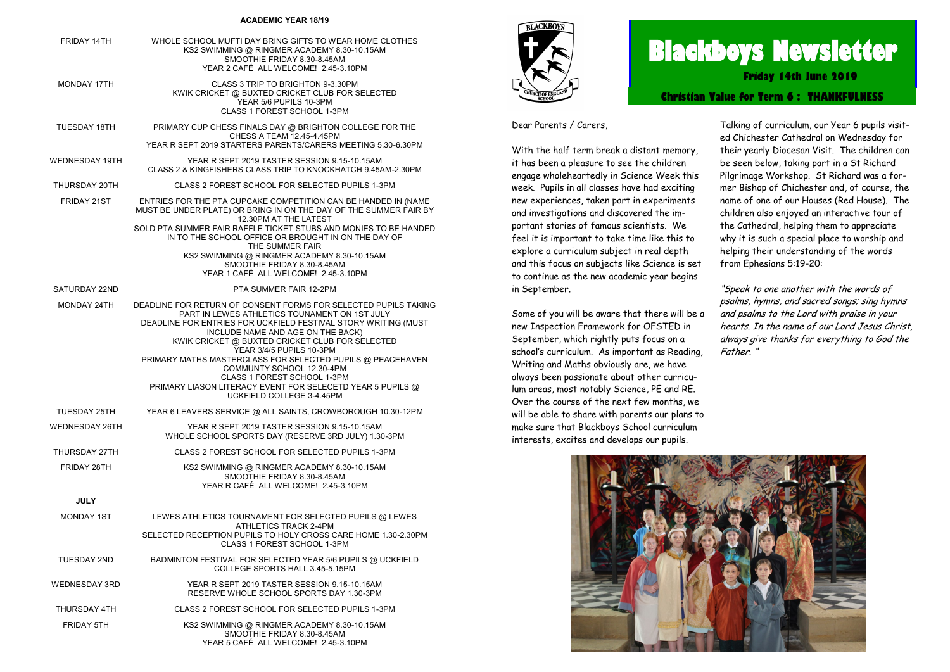#### **ACADEMIC YEAR 18/19**

| FRIDAY 14TH          | WHOLE SCHOOL MUFTI DAY BRING GIFTS TO WEAR HOME CLOTHES<br>KS2 SWIMMING @ RINGMER ACADEMY 8.30-10.15AM<br>SMOOTHIE FRIDAY 8.30-8.45AM<br>YEAR 2 CAFÉ ALL WELCOME! 2.45-3.10PM                                                                                                                                                                                                                                                                                                                                               |
|----------------------|-----------------------------------------------------------------------------------------------------------------------------------------------------------------------------------------------------------------------------------------------------------------------------------------------------------------------------------------------------------------------------------------------------------------------------------------------------------------------------------------------------------------------------|
| MONDAY 17TH          | CLASS 3 TRIP TO BRIGHTON 9-3.30PM<br>KWIK CRICKET @ BUXTED CRICKET CLUB FOR SELECTED<br>YEAR 5/6 PUPILS 10-3PM<br>CLASS 1 FOREST SCHOOL 1-3PM                                                                                                                                                                                                                                                                                                                                                                               |
| TUESDAY 18TH         | PRIMARY CUP CHESS FINALS DAY @ BRIGHTON COLLEGE FOR THE<br>CHESS A TEAM 12.45-4.45PM<br>YEAR R SEPT 2019 STARTERS PARENTS/CARERS MEETING 5.30-6.30PM                                                                                                                                                                                                                                                                                                                                                                        |
| WEDNESDAY 19TH       | YEAR R SEPT 2019 TASTER SESSION 9.15-10.15AM<br>CLASS 2 & KINGFISHERS CLASS TRIP TO KNOCKHATCH 9.45AM-2.30PM                                                                                                                                                                                                                                                                                                                                                                                                                |
| THURSDAY 20TH        | CLASS 2 FOREST SCHOOL FOR SELECTED PUPILS 1-3PM                                                                                                                                                                                                                                                                                                                                                                                                                                                                             |
| FRIDAY 21ST          | ENTRIES FOR THE PTA CUPCAKE COMPETITION CAN BE HANDED IN (NAME<br>MUST BE UNDER PLATE) OR BRING IN ON THE DAY OF THE SUMMER FAIR BY<br>12.30PM AT THE LATEST<br>SOLD PTA SUMMER FAIR RAFFLE TICKET STUBS AND MONIES TO BE HANDED<br>IN TO THE SCHOOL OFFICE OR BROUGHT IN ON THE DAY OF<br>THE SUMMER FAIR<br>KS2 SWIMMING @ RINGMER ACADEMY 8.30-10.15AM<br>SMOOTHIE FRIDAY 8.30-8.45AM<br>YEAR 1 CAFÉ ALL WELCOME! 2.45-3.10PM                                                                                            |
| SATURDAY 22ND        | PTA SUMMER FAIR 12-2PM                                                                                                                                                                                                                                                                                                                                                                                                                                                                                                      |
| MONDAY 24TH          | DEADLINE FOR RETURN OF CONSENT FORMS FOR SELECTED PUPILS TAKING<br>PART IN LEWES ATHLETICS TOUNAMENT ON 1ST JULY<br>DEADLINE FOR ENTRIES FOR UCKFIELD FESTIVAL STORY WRITING (MUST<br>INCLUDE NAME AND AGE ON THE BACK)<br>KWIK CRICKET @ BUXTED CRICKET CLUB FOR SELECTED<br>YEAR 3/4/5 PUPILS 10-3PM<br>PRIMARY MATHS MASTERCLASS FOR SELECTED PUPILS @ PEACEHAVEN<br>COMMUNTY SCHOOL 12.30-4PM<br>CLASS 1 FOREST SCHOOL 1-3PM<br>PRIMARY LIASON LITERACY EVENT FOR SELECETD YEAR 5 PUPILS @<br>UCKFIELD COLLEGE 3-4.45PM |
| TUESDAY 25TH         | YEAR 6 LEAVERS SERVICE @ ALL SAINTS, CROWBOROUGH 10.30-12PM                                                                                                                                                                                                                                                                                                                                                                                                                                                                 |
| WEDNESDAY 26TH       | YEAR R SEPT 2019 TASTER SESSION 9.15-10.15AM<br>WHOLE SCHOOL SPORTS DAY (RESERVE 3RD JULY) 1.30-3PM                                                                                                                                                                                                                                                                                                                                                                                                                         |
| THURSDAY 27TH        | CLASS 2 FOREST SCHOOL FOR SELECTED PUPILS 1-3PM                                                                                                                                                                                                                                                                                                                                                                                                                                                                             |
| FRIDAY 28TH          | KS2 SWIMMING @ RINGMER ACADEMY 8.30-10.15AM<br>SMOOTHIE FRIDAY 8.30-8.45AM<br>YEAR R CAFÉ ALL WELCOME! 2.45-3.10PM                                                                                                                                                                                                                                                                                                                                                                                                          |
| <b>JULY</b>          |                                                                                                                                                                                                                                                                                                                                                                                                                                                                                                                             |
| MONDAY 1ST           | LEWES ATHLETICS TOURNAMENT FOR SELECTED PUPILS @ LEWES<br>ATHLETICS TRACK 2-4PM<br>SELECTED RECEPTION PUPILS TO HOLY CROSS CARE HOME 1.30-2.30PM<br>CLASS 1 FOREST SCHOOL 1-3PM                                                                                                                                                                                                                                                                                                                                             |
| TUESDAY 2ND          | BADMINTON FESTIVAL FOR SELECTED YEAR 5/6 PUPILS @ UCKFIELD<br>COLLEGE SPORTS HALL 3.45-5.15PM                                                                                                                                                                                                                                                                                                                                                                                                                               |
| <b>WEDNESDAY 3RD</b> | YEAR R SEPT 2019 TASTER SESSION 9.15-10.15AM<br>RESERVE WHOLE SCHOOL SPORTS DAY 1.30-3PM                                                                                                                                                                                                                                                                                                                                                                                                                                    |
| THURSDAY 4TH         | CLASS 2 FOREST SCHOOL FOR SELECTED PUPILS 1-3PM                                                                                                                                                                                                                                                                                                                                                                                                                                                                             |
| FRIDAY 5TH           | KS2 SWIMMING @ RINGMER ACADEMY 8.30-10.15AM<br>SMOOTHIE FRIDAY 8.30-8.45AM                                                                                                                                                                                                                                                                                                                                                                                                                                                  |

YEAR 5 CAFÉ ALL WELCOME! 2.45-3.10PM



# **Blackboys Newsletter**

**Friday 14th June 2019**

**Christian Value for Term 6 : THANKFULNESS**

Dear Parents / Carers,

With the half term break a distant memory, it has been a pleasure to see the children engage wholeheartedly in Science Week this week. Pupils in all classes have had exciting new experiences, taken part in experiments and investigations and discovered the important stories of famous scientists. We feel it is important to take time like this to explore a curriculum subject in real depth and this focus on subjects like Science is set to continue as the new academic year begins in September.

Some of you will be aware that there will be a new Inspection Framework for OFSTED in September, which rightly puts focus on a school's curriculum. As important as Reading, Writing and Maths obviously are, we have always been passionate about other curriculum areas, most notably Science, PE and RE. Over the course of the next few months, we will be able to share with parents our plans to make sure that Blackboys School curriculum interests, excites and develops our pupils.

Talking of curriculum, our Year 6 pupils visited Chichester Cathedral on Wednesday for their yearly Diocesan Visit. The children can be seen below, taking part in a St Richard Pilgrimage Workshop. St Richard was a former Bishop of Chichester and, of course, the name of one of our Houses (Red House). The children also enjoyed an interactive tour of the Cathedral, helping them to appreciate why it is such a special place to worship and helping their understanding of the words from Ephesians 5:19-20:

"Speak to one another with the words of psalms, hymns, and sacred songs; sing hymns and psalms to the Lord with praise in your hearts. In the name of our Lord Jesus Christ, always give thanks for everything to God the Father. "